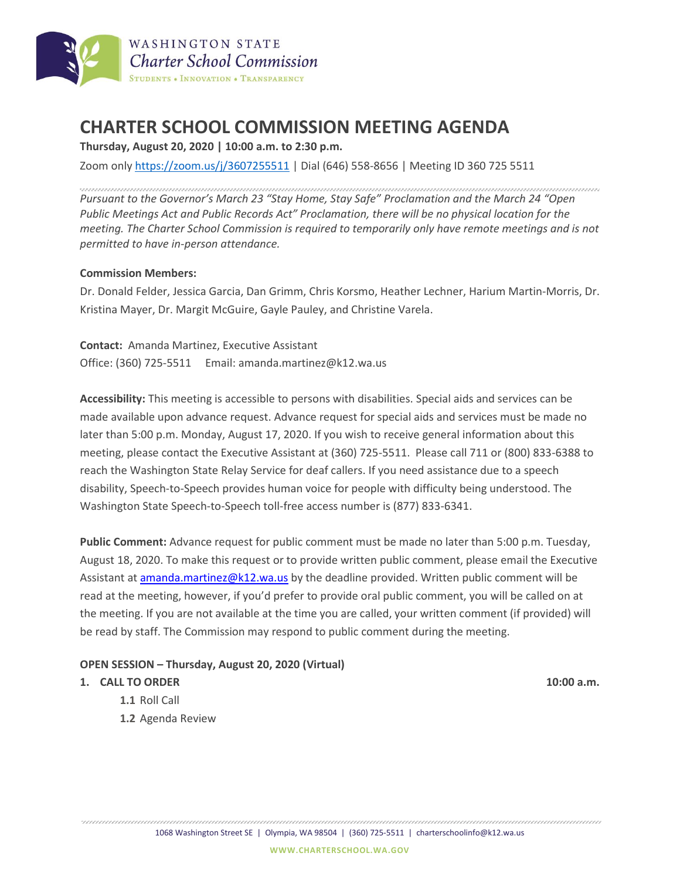

# **CHARTER SCHOOL COMMISSION MEETING AGENDA**

**Thursday, August 20, 2020 | 10:00 a.m. to 2:30 p.m.**

Zoom only <https://zoom.us/j/3607255511> | Dial (646) 558-8656 | Meeting ID 360 725 5511

*Pursuant to the Governor's March 23 "Stay Home, Stay Safe" Proclamation and the March 24 "Open Public Meetings Act and Public Records Act" Proclamation, there will be no physical location for the meeting. The Charter School Commission is required to temporarily only have remote meetings and is not permitted to have in-person attendance.*

#### **Commission Members:**

Dr. Donald Felder, Jessica Garcia, Dan Grimm, Chris Korsmo, Heather Lechner, Harium Martin-Morris, Dr. Kristina Mayer, Dr. Margit McGuire, Gayle Pauley, and Christine Varela.

**Contact:** Amanda Martinez, Executive Assistant Office: (360) 725-5511 Email: amanda.martinez@k12.wa.us

**Accessibility:** This meeting is accessible to persons with disabilities. Special aids and services can be made available upon advance request. Advance request for special aids and services must be made no later than 5:00 p.m. Monday, August 17, 2020. If you wish to receive general information about this meeting, please contact the Executive Assistant at (360) 725-5511. Please call 711 or (800) 833-6388 to reach the Washington State Relay Service for deaf callers. If you need assistance due to a speech disability, Speech-to-Speech provides human voice for people with difficulty being understood. The Washington State Speech-to-Speech toll-free access number is (877) 833-6341.

**Public Comment:** Advance request for public comment must be made no later than 5:00 p.m. Tuesday, August 18, 2020. To make this request or to provide written public comment, please email the Executive Assistant at [amanda.martinez@k12.wa.us](mailto:amanda.martinez@k12.wa.us) by the deadline provided. Written public comment will be read at the meeting, however, if you'd prefer to provide oral public comment, you will be called on at the meeting. If you are not available at the time you are called, your written comment (if provided) will be read by staff. The Commission may respond to public comment during the meeting.

#### **OPEN SESSION – Thursday, August 20, 2020 (Virtual)**

#### **1. CALL TO ORDER 10:00 a.m.**

- **1.1** Roll Call
- **1.2** Agenda Review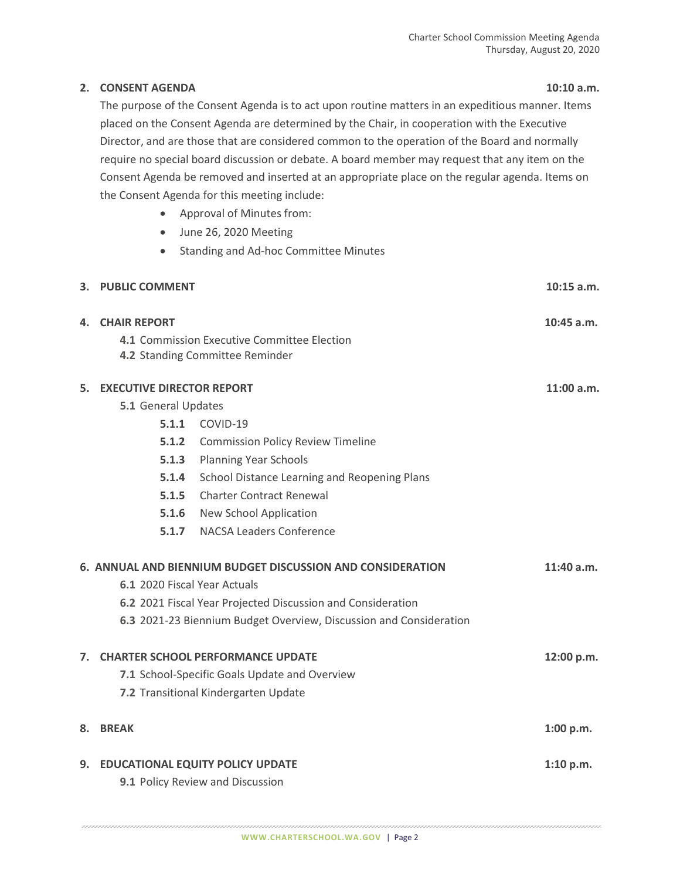### **2. CONSENT AGENDA 10:10 a.m.**

The purpose of the Consent Agenda is to act upon routine matters in an expeditious manner. Items placed on the Consent Agenda are determined by the Chair, in cooperation with the Executive Director, and are those that are considered common to the operation of the Board and normally require no special board discussion or debate. A board member may request that any item on the Consent Agenda be removed and inserted at an appropriate place on the regular agenda. Items on the Consent Agenda for this meeting include:

- Approval of Minutes from:
- June 26, 2020 Meeting
- Standing and Ad-hoc Committee Minutes

|                                                                          | 3. PUBLIC COMMENT                                           |                                                                    | $10:15$ a.m. |  |
|--------------------------------------------------------------------------|-------------------------------------------------------------|--------------------------------------------------------------------|--------------|--|
| 4.                                                                       | <b>CHAIR REPORT</b>                                         |                                                                    | $10:45$ a.m. |  |
|                                                                          |                                                             | 4.1 Commission Executive Committee Election                        |              |  |
|                                                                          |                                                             | 4.2 Standing Committee Reminder                                    |              |  |
| 5.                                                                       | <b>EXECUTIVE DIRECTOR REPORT</b>                            |                                                                    |              |  |
|                                                                          | 5.1 General Updates                                         |                                                                    |              |  |
|                                                                          | 5.1.1                                                       | COVID-19                                                           |              |  |
|                                                                          | 5.1.2                                                       | <b>Commission Policy Review Timeline</b>                           |              |  |
|                                                                          | 5.1.3                                                       | <b>Planning Year Schools</b>                                       |              |  |
|                                                                          | 5.1.4                                                       | School Distance Learning and Reopening Plans                       |              |  |
|                                                                          | 5.1.5                                                       | <b>Charter Contract Renewal</b>                                    |              |  |
|                                                                          | 5.1.6                                                       | New School Application                                             |              |  |
|                                                                          |                                                             | <b>5.1.7</b> NACSA Leaders Conference                              |              |  |
| 6. ANNUAL AND BIENNIUM BUDGET DISCUSSION AND CONSIDERATION<br>11:40 a.m. |                                                             |                                                                    |              |  |
|                                                                          | 6.1 2020 Fiscal Year Actuals                                |                                                                    |              |  |
|                                                                          | 6.2 2021 Fiscal Year Projected Discussion and Consideration |                                                                    |              |  |
|                                                                          |                                                             | 6.3 2021-23 Biennium Budget Overview, Discussion and Consideration |              |  |
| 7 <sup>1</sup>                                                           |                                                             | <b>CHARTER SCHOOL PERFORMANCE UPDATE</b>                           | 12:00 p.m.   |  |
|                                                                          |                                                             | 7.1 School-Specific Goals Update and Overview                      |              |  |
|                                                                          |                                                             | 7.2 Transitional Kindergarten Update                               |              |  |
| 8.                                                                       | <b>BREAK</b>                                                |                                                                    | 1:00 p.m.    |  |
|                                                                          |                                                             |                                                                    |              |  |
|                                                                          |                                                             | 9. EDUCATIONAL EQUITY POLICY UPDATE                                | 1:10 p.m.    |  |
|                                                                          |                                                             | 9.1 Policy Review and Discussion                                   |              |  |
|                                                                          |                                                             |                                                                    |              |  |

**WWW.CHARTERSCHOOL.WA.GOV** | Page 2